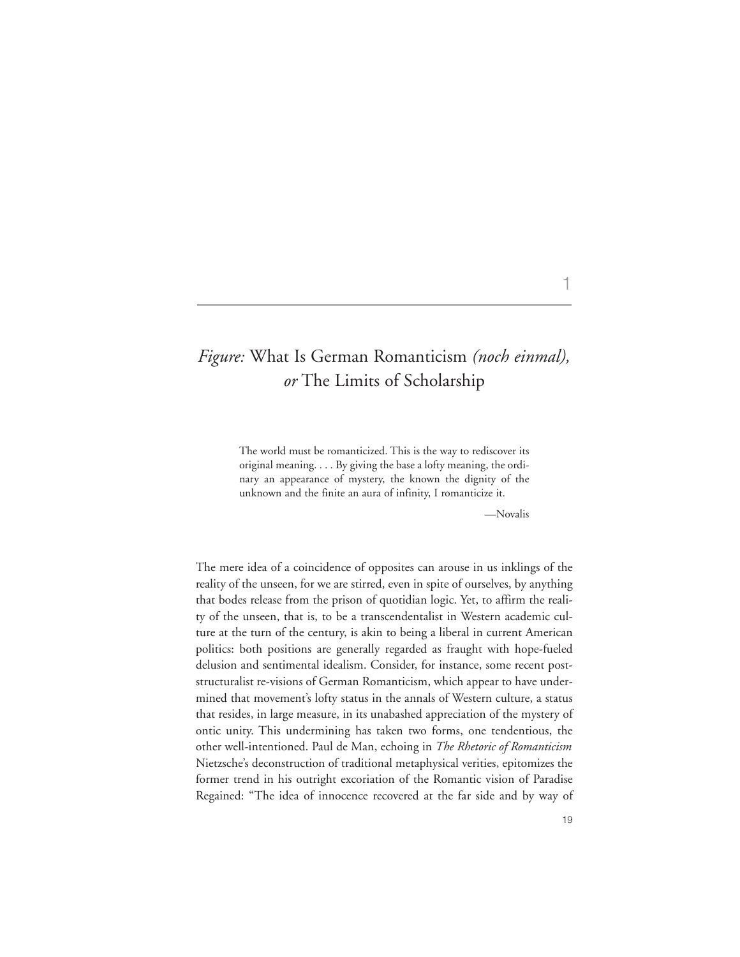# *Figure:* What Is German Romanticism *(noch einmal), or* The Limits of Scholarship

The world must be romanticized. This is the way to rediscover its original meaning. . . . By giving the base a lofty meaning, the ordinary an appearance of mystery, the known the dignity of the unknown and the finite an aura of infinity, I romanticize it.

—Novalis

The mere idea of a coincidence of opposites can arouse in us inklings of the reality of the unseen, for we are stirred, even in spite of ourselves, by anything that bodes release from the prison of quotidian logic. Yet, to affirm the reality of the unseen, that is, to be a transcendentalist in Western academic culture at the turn of the century, is akin to being a liberal in current American politics: both positions are generally regarded as fraught with hope-fueled delusion and sentimental idealism. Consider, for instance, some recent poststructuralist re-visions of German Romanticism, which appear to have undermined that movement's lofty status in the annals of Western culture, a status that resides, in large measure, in its unabashed appreciation of the mystery of ontic unity. This undermining has taken two forms, one tendentious, the other well-intentioned. Paul de Man, echoing in *The Rhetoric of Romanticism* Nietzsche's deconstruction of traditional metaphysical verities, epitomizes the former trend in his outright excoriation of the Romantic vision of Paradise Regained: "The idea of innocence recovered at the far side and by way of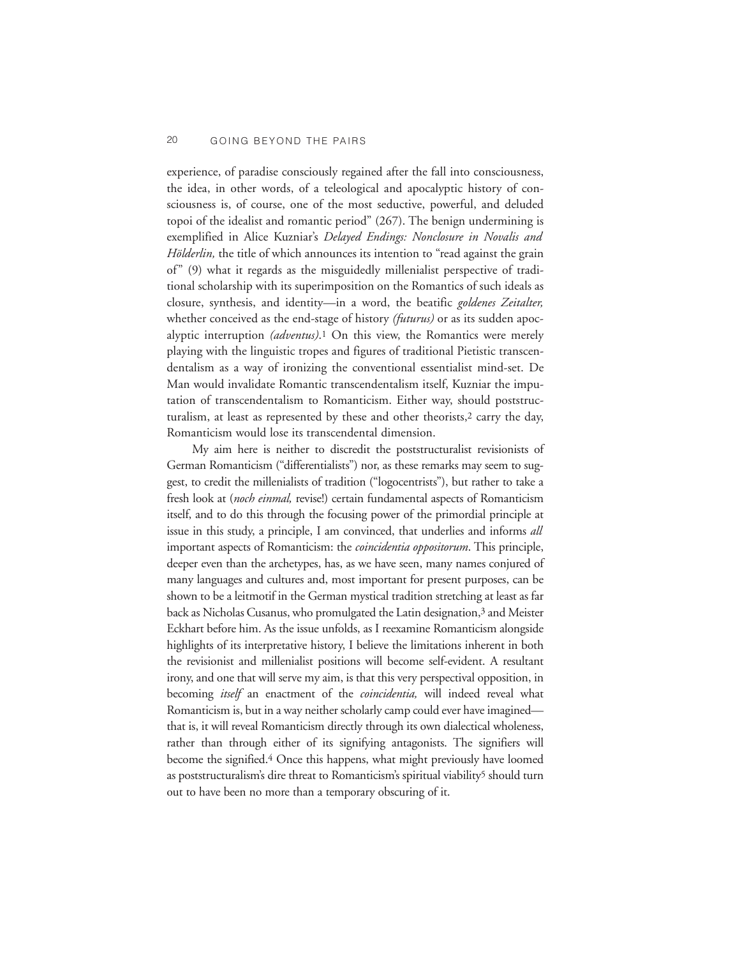experience, of paradise consciously regained after the fall into consciousness, the idea, in other words, of a teleological and apocalyptic history of consciousness is, of course, one of the most seductive, powerful, and deluded topoi of the idealist and romantic period" (267). The benign undermining is exemplified in Alice Kuzniar's *Delayed Endings: Nonclosure in Novalis and Hölderlin,* the title of which announces its intention to "read against the grain of" (9) what it regards as the misguidedly millenialist perspective of traditional scholarship with its superimposition on the Romantics of such ideals as closure, synthesis, and identity—in a word, the beatific *goldenes Zeitalter,* whether conceived as the end-stage of history *(futurus)* or as its sudden apocalyptic interruption *(adventus)*.1 On this view, the Romantics were merely playing with the linguistic tropes and figures of traditional Pietistic transcendentalism as a way of ironizing the conventional essentialist mind-set. De Man would invalidate Romantic transcendentalism itself, Kuzniar the imputation of transcendentalism to Romanticism. Either way, should poststructuralism, at least as represented by these and other theorists,2 carry the day, Romanticism would lose its transcendental dimension.

My aim here is neither to discredit the poststructuralist revisionists of German Romanticism ("differentialists") nor, as these remarks may seem to suggest, to credit the millenialists of tradition ("logocentrists"), but rather to take a fresh look at (*noch einmal,* revise!) certain fundamental aspects of Romanticism itself, and to do this through the focusing power of the primordial principle at issue in this study, a principle, I am convinced, that underlies and informs *all* important aspects of Romanticism: the *coincidentia oppositorum*. This principle, deeper even than the archetypes, has, as we have seen, many names conjured of many languages and cultures and, most important for present purposes, can be shown to be a leitmotif in the German mystical tradition stretching at least as far back as Nicholas Cusanus, who promulgated the Latin designation,3 and Meister Eckhart before him. As the issue unfolds, as I reexamine Romanticism alongside highlights of its interpretative history, I believe the limitations inherent in both the revisionist and millenialist positions will become self-evident. A resultant irony, and one that will serve my aim, is that this very perspectival opposition, in becoming *itself* an enactment of the *coincidentia,* will indeed reveal what Romanticism is, but in a way neither scholarly camp could ever have imagined that is, it will reveal Romanticism directly through its own dialectical wholeness, rather than through either of its signifying antagonists. The signifiers will become the signified.4 Once this happens, what might previously have loomed as poststructuralism's dire threat to Romanticism's spiritual viability<sup>5</sup> should turn out to have been no more than a temporary obscuring of it.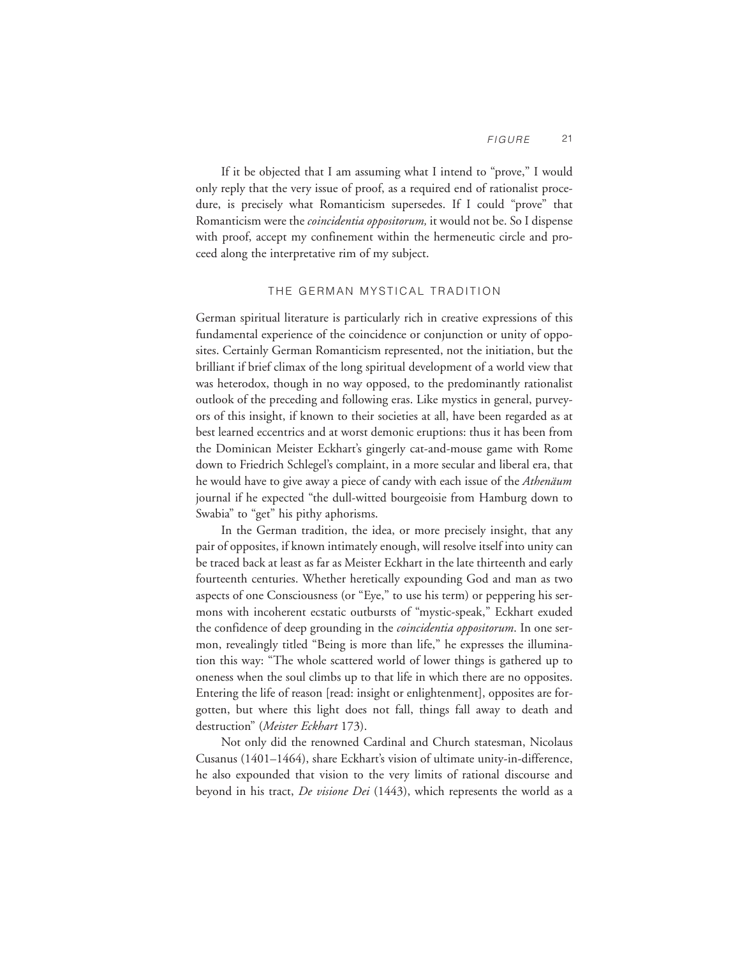If it be objected that I am assuming what I intend to "prove," I would only reply that the very issue of proof, as a required end of rationalist procedure, is precisely what Romanticism supersedes. If I could "prove" that Romanticism were the *coincidentia oppositorum,* it would not be. So I dispense with proof, accept my confinement within the hermeneutic circle and proceed along the interpretative rim of my subject.

### THE GERMAN MYSTICAL TRADITION

German spiritual literature is particularly rich in creative expressions of this fundamental experience of the coincidence or conjunction or unity of opposites. Certainly German Romanticism represented, not the initiation, but the brilliant if brief climax of the long spiritual development of a world view that was heterodox, though in no way opposed, to the predominantly rationalist outlook of the preceding and following eras. Like mystics in general, purveyors of this insight, if known to their societies at all, have been regarded as at best learned eccentrics and at worst demonic eruptions: thus it has been from the Dominican Meister Eckhart's gingerly cat-and-mouse game with Rome down to Friedrich Schlegel's complaint, in a more secular and liberal era, that he would have to give away a piece of candy with each issue of the *Athenäum* journal if he expected "the dull-witted bourgeoisie from Hamburg down to Swabia" to "get" his pithy aphorisms.

In the German tradition, the idea, or more precisely insight, that any pair of opposites, if known intimately enough, will resolve itself into unity can be traced back at least as far as Meister Eckhart in the late thirteenth and early fourteenth centuries. Whether heretically expounding God and man as two aspects of one Consciousness (or "Eye," to use his term) or peppering his sermons with incoherent ecstatic outbursts of "mystic-speak," Eckhart exuded the confidence of deep grounding in the *coincidentia oppositorum*. In one sermon, revealingly titled "Being is more than life," he expresses the illumination this way: "The whole scattered world of lower things is gathered up to oneness when the soul climbs up to that life in which there are no opposites. Entering the life of reason [read: insight or enlightenment], opposites are forgotten, but where this light does not fall, things fall away to death and destruction" (*Meister Eckhart* 173).

Not only did the renowned Cardinal and Church statesman, Nicolaus Cusanus (1401–1464), share Eckhart's vision of ultimate unity-in-difference, he also expounded that vision to the very limits of rational discourse and beyond in his tract, *De visione Dei* (1443), which represents the world as a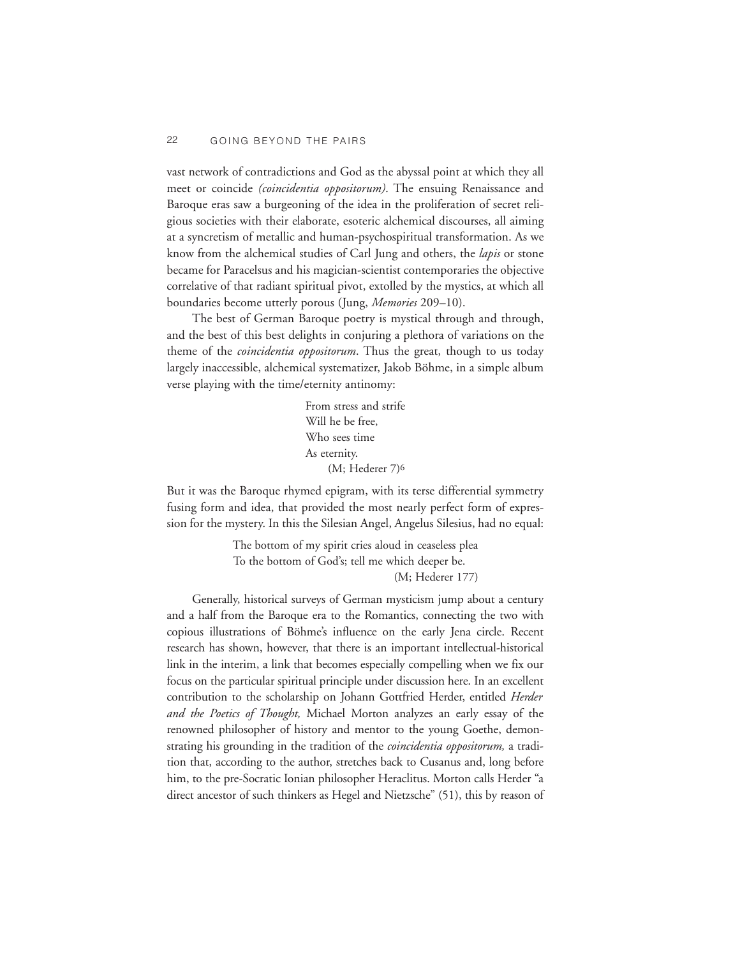vast network of contradictions and God as the abyssal point at which they all meet or coincide *(coincidentia oppositorum)*. The ensuing Renaissance and Baroque eras saw a burgeoning of the idea in the proliferation of secret religious societies with their elaborate, esoteric alchemical discourses, all aiming at a syncretism of metallic and human-psychospiritual transformation. As we know from the alchemical studies of Carl Jung and others, the *lapis* or stone became for Paracelsus and his magician-scientist contemporaries the objective correlative of that radiant spiritual pivot, extolled by the mystics, at which all boundaries become utterly porous (Jung, *Memories* 209–10).

The best of German Baroque poetry is mystical through and through, and the best of this best delights in conjuring a plethora of variations on the theme of the *coincidentia oppositorum*. Thus the great, though to us today largely inaccessible, alchemical systematizer, Jakob Böhme, in a simple album verse playing with the time/eternity antinomy:

> From stress and strife Will he be free, Who sees time As eternity. (M; Hederer 7)6

But it was the Baroque rhymed epigram, with its terse differential symmetry fusing form and idea, that provided the most nearly perfect form of expression for the mystery. In this the Silesian Angel, Angelus Silesius, had no equal:

> The bottom of my spirit cries aloud in ceaseless plea To the bottom of God's; tell me which deeper be. (M; Hederer 177)

Generally, historical surveys of German mysticism jump about a century and a half from the Baroque era to the Romantics, connecting the two with copious illustrations of Böhme's influence on the early Jena circle. Recent research has shown, however, that there is an important intellectual-historical link in the interim, a link that becomes especially compelling when we fix our focus on the particular spiritual principle under discussion here. In an excellent contribution to the scholarship on Johann Gottfried Herder, entitled *Herder and the Poetics of Thought,* Michael Morton analyzes an early essay of the renowned philosopher of history and mentor to the young Goethe, demonstrating his grounding in the tradition of the *coincidentia oppositorum,* a tradition that, according to the author, stretches back to Cusanus and, long before him, to the pre-Socratic Ionian philosopher Heraclitus. Morton calls Herder "a direct ancestor of such thinkers as Hegel and Nietzsche" (51), this by reason of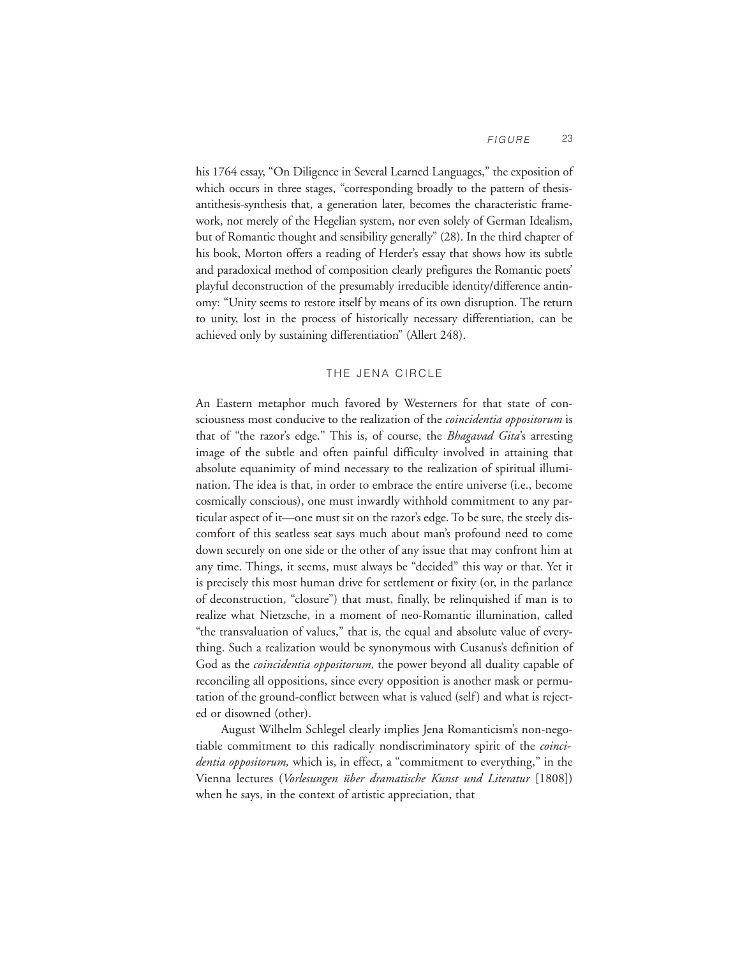his 1764 essay, "On Diligence in Several Learned Languages," the exposition of which occurs in three stages, "corresponding broadly to the pattern of thesisantithesis-synthesis that, a generation later, becomes the characteristic framework, not merely of the Hegelian system, nor even solely of German Idealism, but of Romantic thought and sensibility generally" (28). In the third chapter of his book, Morton offers a reading of Herder's essay that shows how its subtle and paradoxical method of composition clearly prefigures the Romantic poets' playful deconstruction of the presumably irreducible identity/difference antinomy: "Unity seems to restore itself by means of its own disruption. The return to unity, lost in the process of historically necessary differentiation, can be achieved only by sustaining differentiation" (Allert 248).

#### THE JENA CIRCLE

An Eastern metaphor much favored by Westerners for that state of consciousness most conducive to the realization of the *coincidentia oppositorum* is that of "the razor's edge." This is, of course, the *Bhagavad Gita*'s arresting image of the subtle and often painful difficulty involved in attaining that absolute equanimity of mind necessary to the realization of spiritual illumination. The idea is that, in order to embrace the entire universe (i.e., become cosmically conscious), one must inwardly withhold commitment to any particular aspect of it—one must sit on the razor's edge. To be sure, the steely discomfort of this seatless seat says much about man's profound need to come down securely on one side or the other of any issue that may confront him at any time. Things, it seems, must always be "decided" this way or that. Yet it is precisely this most human drive for settlement or fixity (or, in the parlance of deconstruction, "closure") that must, finally, be relinquished if man is to realize what Nietzsche, in a moment of neo-Romantic illumination, called "the transvaluation of values," that is, the equal and absolute value of everything. Such a realization would be synonymous with Cusanus's definition of God as the *coincidentia oppositorum,* the power beyond all duality capable of reconciling all oppositions, since every opposition is another mask or permutation of the ground-conflict between what is valued (self) and what is rejected or disowned (other).

August Wilhelm Schlegel clearly implies Jena Romanticism's non-negotiable commitment to this radically nondiscriminatory spirit of the *coincidentia oppositorum,* which is, in effect, a "commitment to everything," in the Vienna lectures (*Vorlesungen über dramatische Kunst und Literatur* [1808]) when he says, in the context of artistic appreciation, that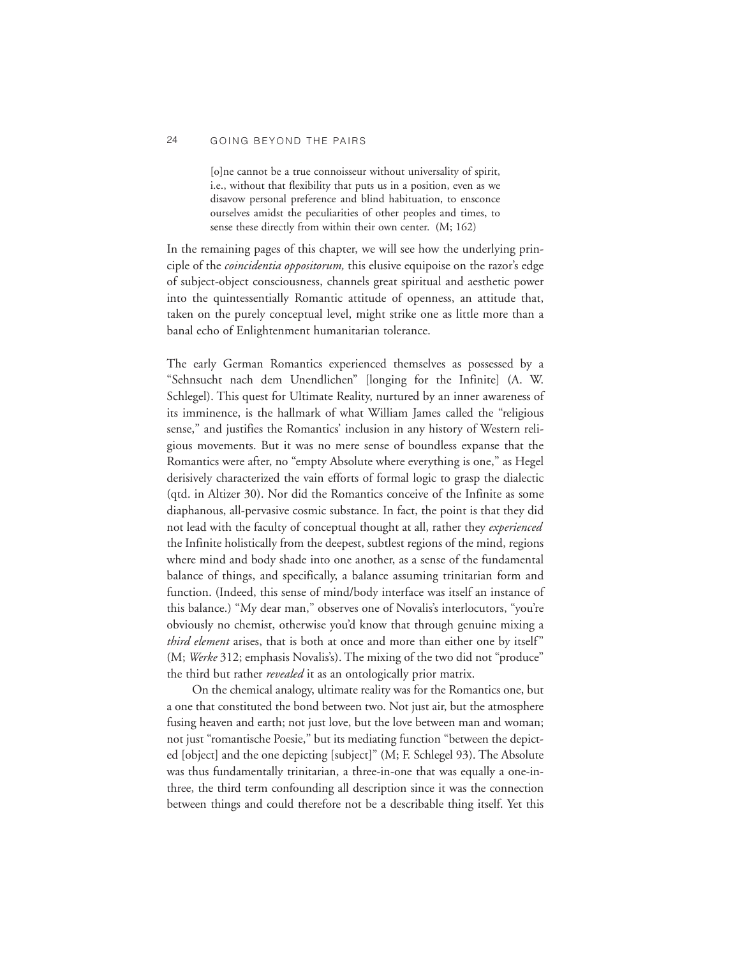[o]ne cannot be a true connoisseur without universality of spirit, i.e., without that flexibility that puts us in a position, even as we disavow personal preference and blind habituation, to ensconce ourselves amidst the peculiarities of other peoples and times, to sense these directly from within their own center. (M; 162)

In the remaining pages of this chapter, we will see how the underlying principle of the *coincidentia oppositorum,* this elusive equipoise on the razor's edge of subject-object consciousness, channels great spiritual and aesthetic power into the quintessentially Romantic attitude of openness, an attitude that, taken on the purely conceptual level, might strike one as little more than a banal echo of Enlightenment humanitarian tolerance.

The early German Romantics experienced themselves as possessed by a "Sehnsucht nach dem Unendlichen" [longing for the Infinite] (A. W. Schlegel). This quest for Ultimate Reality, nurtured by an inner awareness of its imminence, is the hallmark of what William James called the "religious sense," and justifies the Romantics' inclusion in any history of Western religious movements. But it was no mere sense of boundless expanse that the Romantics were after, no "empty Absolute where everything is one," as Hegel derisively characterized the vain efforts of formal logic to grasp the dialectic (qtd. in Altizer 30). Nor did the Romantics conceive of the Infinite as some diaphanous, all-pervasive cosmic substance. In fact, the point is that they did not lead with the faculty of conceptual thought at all, rather they *experienced* the Infinite holistically from the deepest, subtlest regions of the mind, regions where mind and body shade into one another, as a sense of the fundamental balance of things, and specifically, a balance assuming trinitarian form and function. (Indeed, this sense of mind/body interface was itself an instance of this balance.) "My dear man," observes one of Novalis's interlocutors, "you're obviously no chemist, otherwise you'd know that through genuine mixing a *third element* arises, that is both at once and more than either one by itself" (M; *Werke* 312; emphasis Novalis's). The mixing of the two did not "produce" the third but rather *revealed* it as an ontologically prior matrix.

On the chemical analogy, ultimate reality was for the Romantics one, but a one that constituted the bond between two. Not just air, but the atmosphere fusing heaven and earth; not just love, but the love between man and woman; not just "romantische Poesie," but its mediating function "between the depicted [object] and the one depicting [subject]" (M; F. Schlegel 93). The Absolute was thus fundamentally trinitarian, a three-in-one that was equally a one-inthree, the third term confounding all description since it was the connection between things and could therefore not be a describable thing itself. Yet this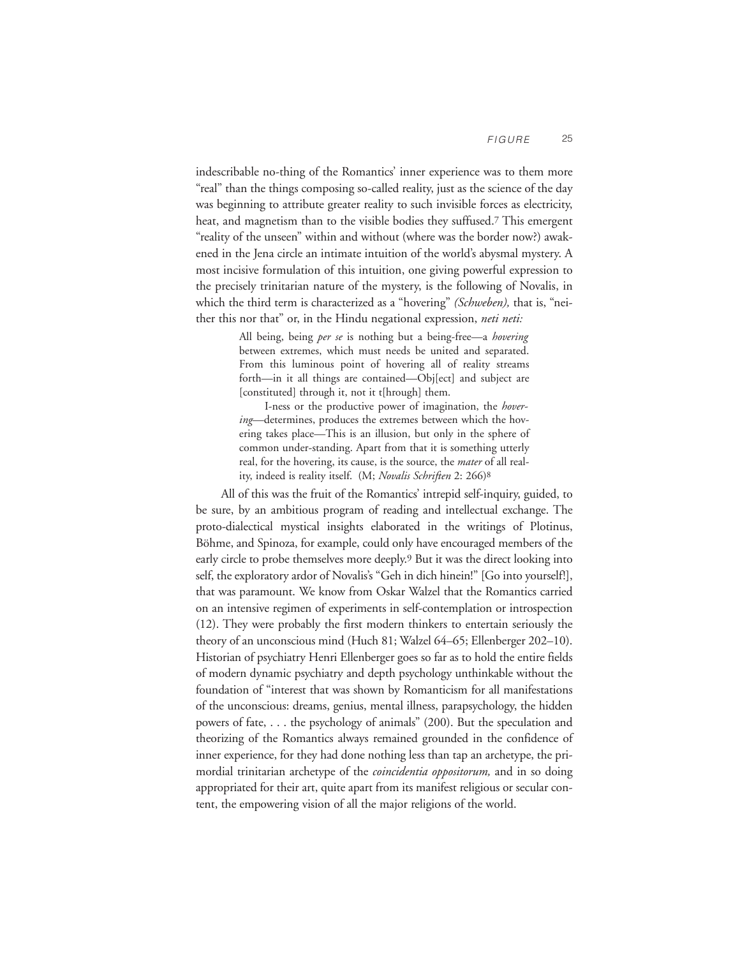indescribable no-thing of the Romantics' inner experience was to them more "real" than the things composing so-called reality, just as the science of the day was beginning to attribute greater reality to such invisible forces as electricity, heat, and magnetism than to the visible bodies they suffused.7 This emergent "reality of the unseen" within and without (where was the border now?) awakened in the Jena circle an intimate intuition of the world's abysmal mystery. A most incisive formulation of this intuition, one giving powerful expression to the precisely trinitarian nature of the mystery, is the following of Novalis, in which the third term is characterized as a "hovering" *(Schweben),* that is, "neither this nor that" or, in the Hindu negational expression, *neti neti:*

> All being, being *per se* is nothing but a being-free—a *hovering* between extremes, which must needs be united and separated. From this luminous point of hovering all of reality streams forth—in it all things are contained—Obj[ect] and subject are [constituted] through it, not it t[hrough] them.

> I-ness or the productive power of imagination, the *hovering*—determines, produces the extremes between which the hovering takes place—This is an illusion, but only in the sphere of common under-standing. Apart from that it is something utterly real, for the hovering, its cause, is the source, the *mater* of all reality, indeed is reality itself. (M; *Novalis Schriften* 2: 266)8

All of this was the fruit of the Romantics' intrepid self-inquiry, guided, to be sure, by an ambitious program of reading and intellectual exchange. The proto-dialectical mystical insights elaborated in the writings of Plotinus, Böhme, and Spinoza, for example, could only have encouraged members of the early circle to probe themselves more deeply.9 But it was the direct looking into self, the exploratory ardor of Novalis's "Geh in dich hinein!" [Go into yourself!], that was paramount. We know from Oskar Walzel that the Romantics carried on an intensive regimen of experiments in self-contemplation or introspection (12). They were probably the first modern thinkers to entertain seriously the theory of an unconscious mind (Huch 81; Walzel 64–65; Ellenberger 202–10). Historian of psychiatry Henri Ellenberger goes so far as to hold the entire fields of modern dynamic psychiatry and depth psychology unthinkable without the foundation of "interest that was shown by Romanticism for all manifestations of the unconscious: dreams, genius, mental illness, parapsychology, the hidden powers of fate, . . . the psychology of animals" (200). But the speculation and theorizing of the Romantics always remained grounded in the confidence of inner experience, for they had done nothing less than tap an archetype, the primordial trinitarian archetype of the *coincidentia oppositorum,* and in so doing appropriated for their art, quite apart from its manifest religious or secular content, the empowering vision of all the major religions of the world.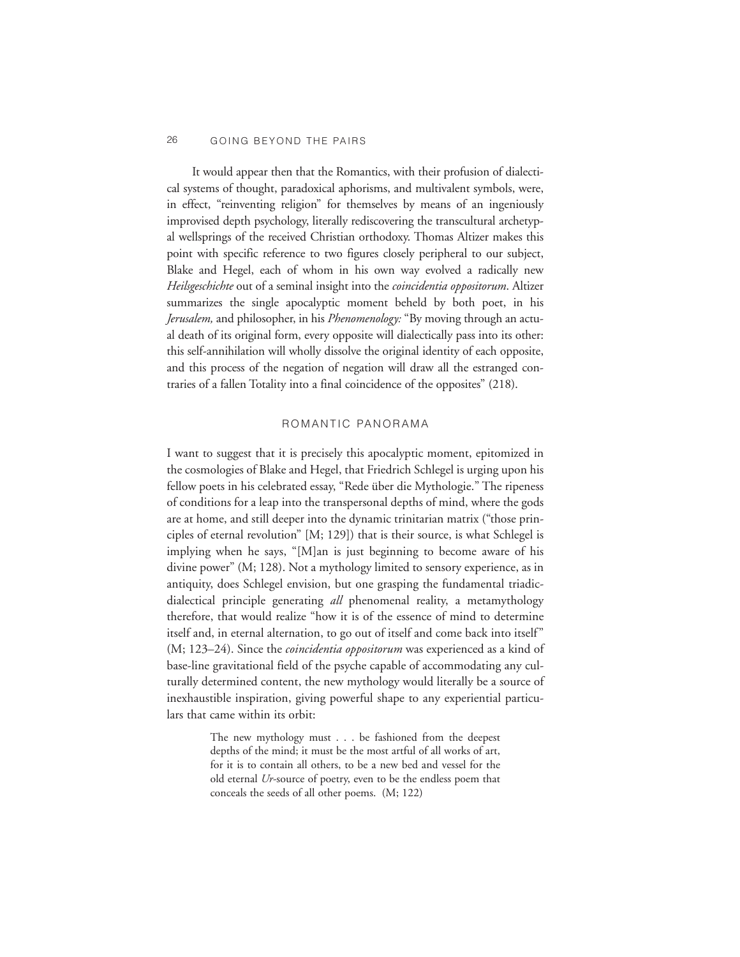It would appear then that the Romantics, with their profusion of dialectical systems of thought, paradoxical aphorisms, and multivalent symbols, were, in effect, "reinventing religion" for themselves by means of an ingeniously improvised depth psychology, literally rediscovering the transcultural archetypal wellsprings of the received Christian orthodoxy. Thomas Altizer makes this point with specific reference to two figures closely peripheral to our subject, Blake and Hegel, each of whom in his own way evolved a radically new *Heilsgeschichte* out of a seminal insight into the *coincidentia oppositorum*. Altizer summarizes the single apocalyptic moment beheld by both poet, in his *Jerusalem,* and philosopher, in his *Phenomenology:* "By moving through an actual death of its original form, every opposite will dialectically pass into its other: this self-annihilation will wholly dissolve the original identity of each opposite, and this process of the negation of negation will draw all the estranged contraries of a fallen Totality into a final coincidence of the opposites" (218).

## ROMANTIC PANORAMA

I want to suggest that it is precisely this apocalyptic moment, epitomized in the cosmologies of Blake and Hegel, that Friedrich Schlegel is urging upon his fellow poets in his celebrated essay, "Rede über die Mythologie." The ripeness of conditions for a leap into the transpersonal depths of mind, where the gods are at home, and still deeper into the dynamic trinitarian matrix ("those principles of eternal revolution" [M; 129]) that is their source, is what Schlegel is implying when he says, "[M]an is just beginning to become aware of his divine power" (M; 128). Not a mythology limited to sensory experience, as in antiquity, does Schlegel envision, but one grasping the fundamental triadicdialectical principle generating *all* phenomenal reality, a metamythology therefore, that would realize "how it is of the essence of mind to determine itself and, in eternal alternation, to go out of itself and come back into itself" (M; 123–24). Since the *coincidentia oppositorum* was experienced as a kind of base-line gravitational field of the psyche capable of accommodating any culturally determined content, the new mythology would literally be a source of inexhaustible inspiration, giving powerful shape to any experiential particulars that came within its orbit:

> The new mythology must . . . be fashioned from the deepest depths of the mind; it must be the most artful of all works of art, for it is to contain all others, to be a new bed and vessel for the old eternal *Ur-*source of poetry, even to be the endless poem that conceals the seeds of all other poems. (M; 122)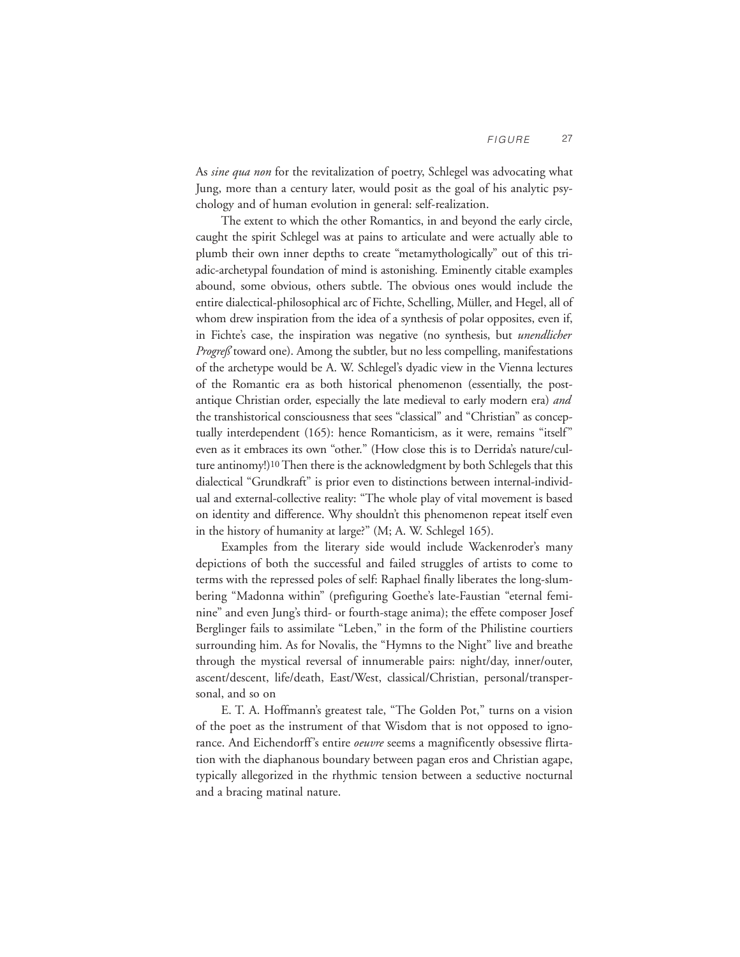As *sine qua non* for the revitalization of poetry, Schlegel was advocating what Jung, more than a century later, would posit as the goal of his analytic psychology and of human evolution in general: self-realization.

The extent to which the other Romantics, in and beyond the early circle, caught the spirit Schlegel was at pains to articulate and were actually able to plumb their own inner depths to create "metamythologically" out of this triadic-archetypal foundation of mind is astonishing. Eminently citable examples abound, some obvious, others subtle. The obvious ones would include the entire dialectical-philosophical arc of Fichte, Schelling, Müller, and Hegel, all of whom drew inspiration from the idea of a synthesis of polar opposites, even if, in Fichte's case, the inspiration was negative (no synthesis, but *unendlicher Progreß* toward one). Among the subtler, but no less compelling, manifestations of the archetype would be A. W. Schlegel's dyadic view in the Vienna lectures of the Romantic era as both historical phenomenon (essentially, the postantique Christian order, especially the late medieval to early modern era) *and* the transhistorical consciousness that sees "classical" and "Christian" as conceptually interdependent (165): hence Romanticism, as it were, remains "itself" even as it embraces its own "other." (How close this is to Derrida's nature/culture antinomy!)10Then there is the acknowledgment by both Schlegels that this dialectical "Grundkraft" is prior even to distinctions between internal-individual and external-collective reality: "The whole play of vital movement is based on identity and difference. Why shouldn't this phenomenon repeat itself even in the history of humanity at large?" (M; A. W. Schlegel 165).

Examples from the literary side would include Wackenroder's many depictions of both the successful and failed struggles of artists to come to terms with the repressed poles of self: Raphael finally liberates the long-slumbering "Madonna within" (prefiguring Goethe's late-Faustian "eternal feminine" and even Jung's third- or fourth-stage anima); the effete composer Josef Berglinger fails to assimilate "Leben," in the form of the Philistine courtiers surrounding him. As for Novalis, the "Hymns to the Night" live and breathe through the mystical reversal of innumerable pairs: night/day, inner/outer, ascent/descent, life/death, East/West, classical/Christian, personal/transpersonal, and so on

E. T. A. Hoffmann's greatest tale, "The Golden Pot," turns on a vision of the poet as the instrument of that Wisdom that is not opposed to ignorance. And Eichendorff's entire *oeuvre* seems a magnificently obsessive flirtation with the diaphanous boundary between pagan eros and Christian agape, typically allegorized in the rhythmic tension between a seductive nocturnal and a bracing matinal nature.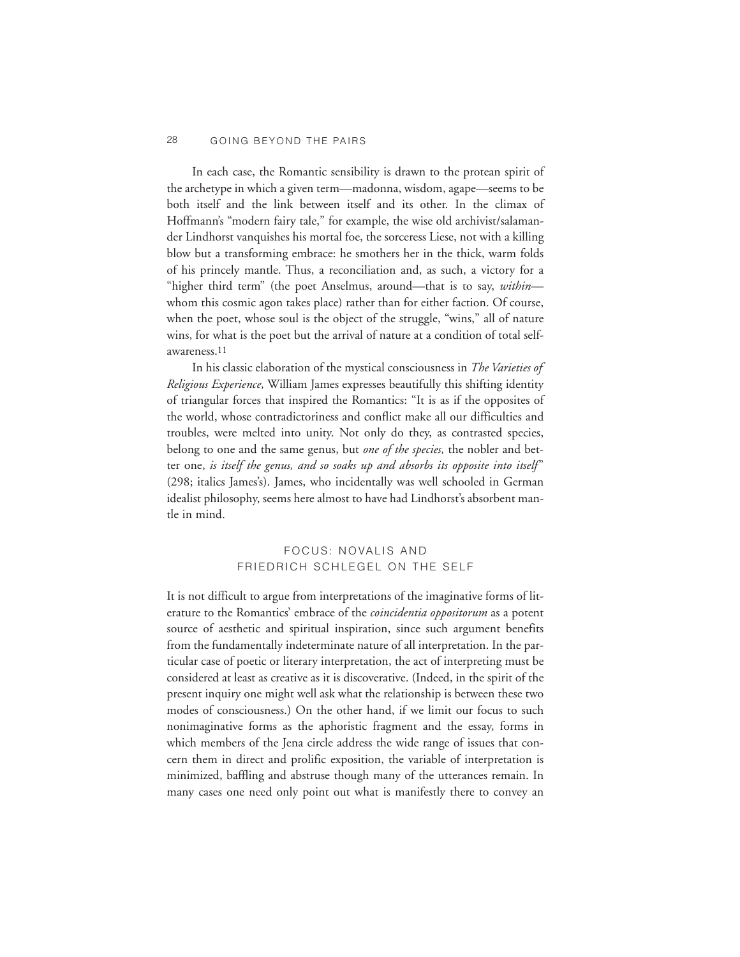In each case, the Romantic sensibility is drawn to the protean spirit of the archetype in which a given term—madonna, wisdom, agape—seems to be both itself and the link between itself and its other. In the climax of Hoffmann's "modern fairy tale," for example, the wise old archivist/salamander Lindhorst vanquishes his mortal foe, the sorceress Liese, not with a killing blow but a transforming embrace: he smothers her in the thick, warm folds of his princely mantle. Thus, a reconciliation and, as such, a victory for a "higher third term" (the poet Anselmus, around—that is to say, *within* whom this cosmic agon takes place) rather than for either faction. Of course, when the poet, whose soul is the object of the struggle, "wins," all of nature wins, for what is the poet but the arrival of nature at a condition of total selfawareness.11

In his classic elaboration of the mystical consciousness in *The Varieties of Religious Experience,* William James expresses beautifully this shifting identity of triangular forces that inspired the Romantics: "It is as if the opposites of the world, whose contradictoriness and conflict make all our difficulties and troubles, were melted into unity. Not only do they, as contrasted species, belong to one and the same genus, but *one of the species,* the nobler and better one, *is itself the genus, and so soaks up and absorbs its opposite into itself*" (298; italics James's). James, who incidentally was well schooled in German idealist philosophy, seems here almost to have had Lindhorst's absorbent mantle in mind.

# FOCUS: NOVALIS AND FRIEDRICH SCHLEGEL ON THE SELF

It is not difficult to argue from interpretations of the imaginative forms of literature to the Romantics' embrace of the *coincidentia oppositorum* as a potent source of aesthetic and spiritual inspiration, since such argument benefits from the fundamentally indeterminate nature of all interpretation. In the particular case of poetic or literary interpretation, the act of interpreting must be considered at least as creative as it is discoverative. (Indeed, in the spirit of the present inquiry one might well ask what the relationship is between these two modes of consciousness.) On the other hand, if we limit our focus to such nonimaginative forms as the aphoristic fragment and the essay, forms in which members of the Jena circle address the wide range of issues that concern them in direct and prolific exposition, the variable of interpretation is minimized, baffling and abstruse though many of the utterances remain. In many cases one need only point out what is manifestly there to convey an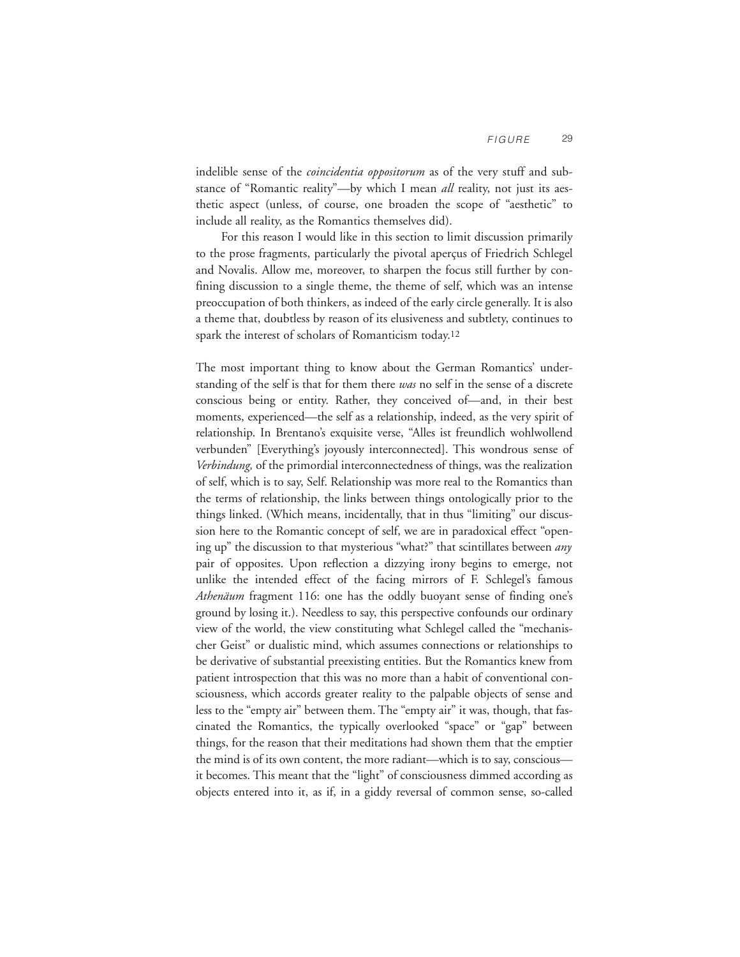indelible sense of the *coincidentia oppositorum* as of the very stuff and substance of "Romantic reality"—by which I mean *all* reality, not just its aesthetic aspect (unless, of course, one broaden the scope of "aesthetic" to include all reality, as the Romantics themselves did).

For this reason I would like in this section to limit discussion primarily to the prose fragments, particularly the pivotal aperçus of Friedrich Schlegel and Novalis. Allow me, moreover, to sharpen the focus still further by confining discussion to a single theme, the theme of self, which was an intense preoccupation of both thinkers, as indeed of the early circle generally. It is also a theme that, doubtless by reason of its elusiveness and subtlety, continues to spark the interest of scholars of Romanticism today.12

The most important thing to know about the German Romantics' understanding of the self is that for them there *was* no self in the sense of a discrete conscious being or entity. Rather, they conceived of—and, in their best moments, experienced—the self as a relationship, indeed, as the very spirit of relationship. In Brentano's exquisite verse, "Alles ist freundlich wohlwollend verbunden" [Everything's joyously interconnected]. This wondrous sense of *Verbindung,* of the primordial interconnectedness of things, was the realization of self, which is to say, Self. Relationship was more real to the Romantics than the terms of relationship, the links between things ontologically prior to the things linked. (Which means, incidentally, that in thus "limiting" our discussion here to the Romantic concept of self, we are in paradoxical effect "opening up" the discussion to that mysterious "what?" that scintillates between *any* pair of opposites. Upon reflection a dizzying irony begins to emerge, not unlike the intended effect of the facing mirrors of F. Schlegel's famous *Athenäum* fragment 116: one has the oddly buoyant sense of finding one's ground by losing it.). Needless to say, this perspective confounds our ordinary view of the world, the view constituting what Schlegel called the "mechanischer Geist" or dualistic mind, which assumes connections or relationships to be derivative of substantial preexisting entities. But the Romantics knew from patient introspection that this was no more than a habit of conventional consciousness, which accords greater reality to the palpable objects of sense and less to the "empty air" between them. The "empty air" it was, though, that fascinated the Romantics, the typically overlooked "space" or "gap" between things, for the reason that their meditations had shown them that the emptier the mind is of its own content, the more radiant—which is to say, conscious it becomes. This meant that the "light" of consciousness dimmed according as objects entered into it, as if, in a giddy reversal of common sense, so-called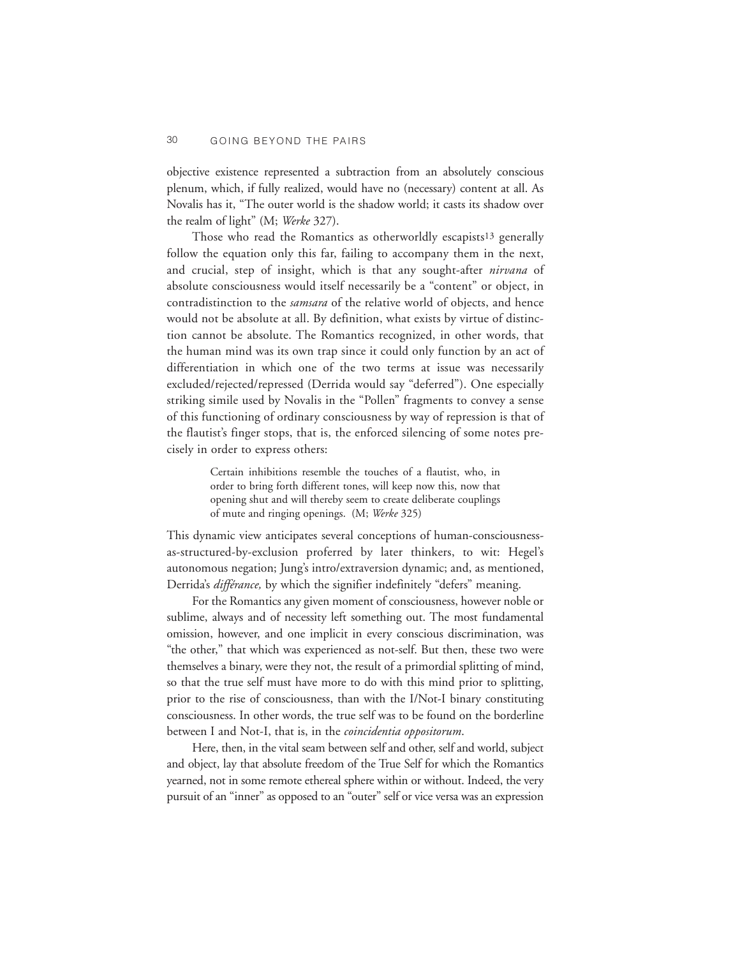objective existence represented a subtraction from an absolutely conscious plenum, which, if fully realized, would have no (necessary) content at all. As Novalis has it, "The outer world is the shadow world; it casts its shadow over the realm of light" (M; *Werke* 327).

Those who read the Romantics as otherworldly escapists<sup>13</sup> generally follow the equation only this far, failing to accompany them in the next, and crucial, step of insight, which is that any sought-after *nirvana* of absolute consciousness would itself necessarily be a "content" or object, in contradistinction to the *samsara* of the relative world of objects, and hence would not be absolute at all. By definition, what exists by virtue of distinction cannot be absolute. The Romantics recognized, in other words, that the human mind was its own trap since it could only function by an act of differentiation in which one of the two terms at issue was necessarily excluded/rejected/repressed (Derrida would say "deferred"). One especially striking simile used by Novalis in the "Pollen" fragments to convey a sense of this functioning of ordinary consciousness by way of repression is that of the flautist's finger stops, that is, the enforced silencing of some notes precisely in order to express others:

> Certain inhibitions resemble the touches of a flautist, who, in order to bring forth different tones, will keep now this, now that opening shut and will thereby seem to create deliberate couplings of mute and ringing openings. (M; *Werke* 325)

This dynamic view anticipates several conceptions of human-consciousnessas-structured-by-exclusion proferred by later thinkers, to wit: Hegel's autonomous negation; Jung's intro/extraversion dynamic; and, as mentioned, Derrida's *différance,* by which the signifier indefinitely "defers" meaning.

For the Romantics any given moment of consciousness, however noble or sublime, always and of necessity left something out. The most fundamental omission, however, and one implicit in every conscious discrimination, was "the other," that which was experienced as not-self. But then, these two were themselves a binary, were they not, the result of a primordial splitting of mind, so that the true self must have more to do with this mind prior to splitting, prior to the rise of consciousness, than with the I/Not-I binary constituting consciousness. In other words, the true self was to be found on the borderline between I and Not-I, that is, in the *coincidentia oppositorum*.

Here, then, in the vital seam between self and other, self and world, subject and object, lay that absolute freedom of the True Self for which the Romantics yearned, not in some remote ethereal sphere within or without. Indeed, the very pursuit of an "inner" as opposed to an "outer" self or vice versa was an expression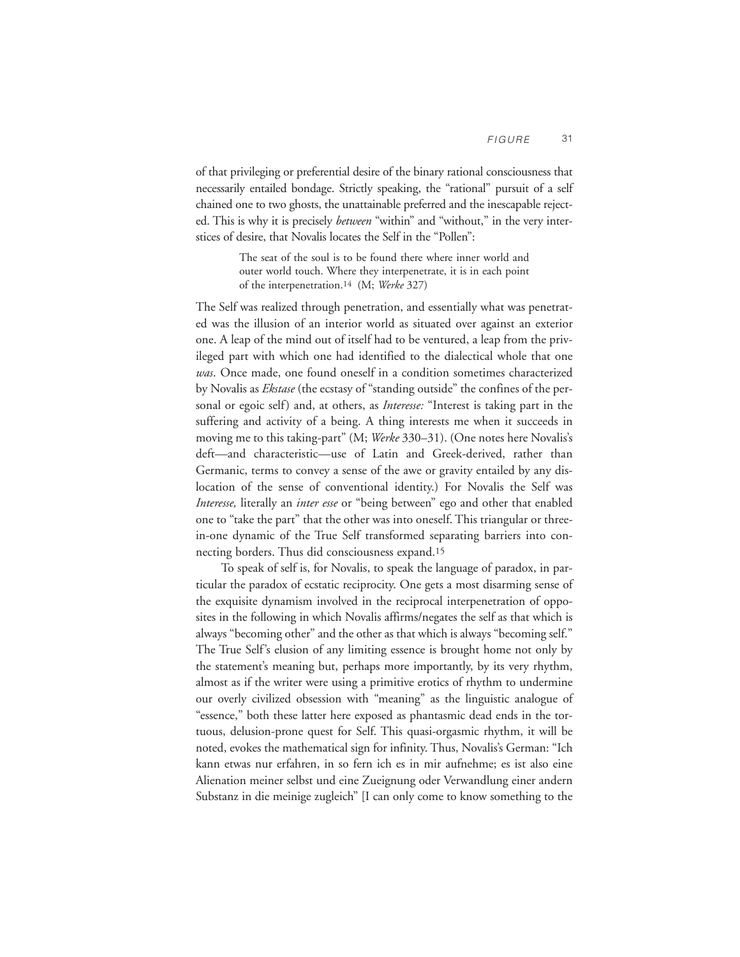of that privileging or preferential desire of the binary rational consciousness that necessarily entailed bondage. Strictly speaking, the "rational" pursuit of a self chained one to two ghosts, the unattainable preferred and the inescapable rejected. This is why it is precisely *between* "within" and "without," in the very interstices of desire, that Novalis locates the Self in the "Pollen":

> The seat of the soul is to be found there where inner world and outer world touch. Where they interpenetrate, it is in each point of the interpenetration.14 (M; *Werke* 327)

The Self was realized through penetration, and essentially what was penetrated was the illusion of an interior world as situated over against an exterior one. A leap of the mind out of itself had to be ventured, a leap from the privileged part with which one had identified to the dialectical whole that one *was*. Once made, one found oneself in a condition sometimes characterized by Novalis as *Ekstase* (the ecstasy of "standing outside" the confines of the personal or egoic self) and, at others, as *Interesse:* "Interest is taking part in the suffering and activity of a being. A thing interests me when it succeeds in moving me to this taking-part" (M; *Werke* 330–31). (One notes here Novalis's deft—and characteristic—use of Latin and Greek-derived, rather than Germanic, terms to convey a sense of the awe or gravity entailed by any dislocation of the sense of conventional identity.) For Novalis the Self was *Interesse,* literally an *inter esse* or "being between" ego and other that enabled one to "take the part" that the other was into oneself. This triangular or threein-one dynamic of the True Self transformed separating barriers into connecting borders. Thus did consciousness expand.15

To speak of self is, for Novalis, to speak the language of paradox, in particular the paradox of ecstatic reciprocity. One gets a most disarming sense of the exquisite dynamism involved in the reciprocal interpenetration of opposites in the following in which Novalis affirms/negates the self as that which is always "becoming other" and the other as that which is always "becoming self." The True Self's elusion of any limiting essence is brought home not only by the statement's meaning but, perhaps more importantly, by its very rhythm, almost as if the writer were using a primitive erotics of rhythm to undermine our overly civilized obsession with "meaning" as the linguistic analogue of "essence," both these latter here exposed as phantasmic dead ends in the tortuous, delusion-prone quest for Self. This quasi-orgasmic rhythm, it will be noted, evokes the mathematical sign for infinity. Thus, Novalis's German: "Ich kann etwas nur erfahren, in so fern ich es in mir aufnehme; es ist also eine Alienation meiner selbst und eine Zueignung oder Verwandlung einer andern Substanz in die meinige zugleich" [I can only come to know something to the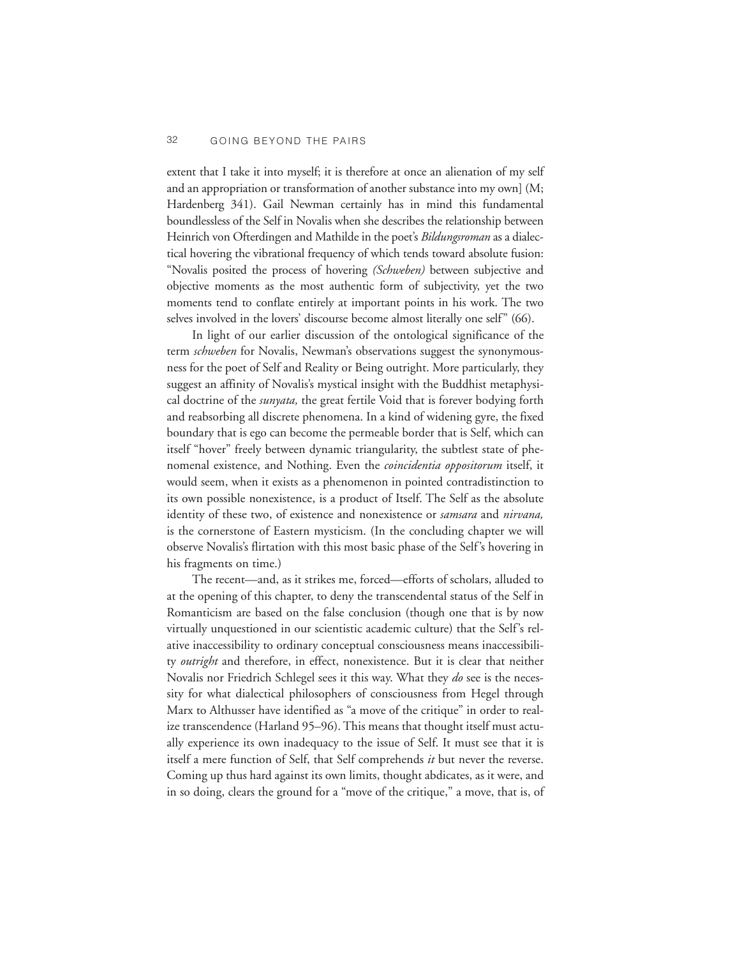extent that I take it into myself; it is therefore at once an alienation of my self and an appropriation or transformation of another substance into my own] (M; Hardenberg 341). Gail Newman certainly has in mind this fundamental boundlessless of the Self in Novalis when she describes the relationship between Heinrich von Ofterdingen and Mathilde in the poet's *Bildungsroman* as a dialectical hovering the vibrational frequency of which tends toward absolute fusion: "Novalis posited the process of hovering *(Schweben)* between subjective and objective moments as the most authentic form of subjectivity, yet the two moments tend to conflate entirely at important points in his work. The two selves involved in the lovers' discourse become almost literally one self" (66).

In light of our earlier discussion of the ontological significance of the term *schweben* for Novalis, Newman's observations suggest the synonymousness for the poet of Self and Reality or Being outright. More particularly, they suggest an affinity of Novalis's mystical insight with the Buddhist metaphysical doctrine of the *sunyata,* the great fertile Void that is forever bodying forth and reabsorbing all discrete phenomena. In a kind of widening gyre, the fixed boundary that is ego can become the permeable border that is Self, which can itself "hover" freely between dynamic triangularity, the subtlest state of phenomenal existence, and Nothing. Even the *coincidentia oppositorum* itself, it would seem, when it exists as a phenomenon in pointed contradistinction to its own possible nonexistence, is a product of Itself. The Self as the absolute identity of these two, of existence and nonexistence or *samsara* and *nirvana,* is the cornerstone of Eastern mysticism. (In the concluding chapter we will observe Novalis's flirtation with this most basic phase of the Self's hovering in his fragments on time.)

The recent—and, as it strikes me, forced—efforts of scholars, alluded to at the opening of this chapter, to deny the transcendental status of the Self in Romanticism are based on the false conclusion (though one that is by now virtually unquestioned in our scientistic academic culture) that the Self's relative inaccessibility to ordinary conceptual consciousness means inaccessibility *outright* and therefore, in effect, nonexistence. But it is clear that neither Novalis nor Friedrich Schlegel sees it this way. What they *do* see is the necessity for what dialectical philosophers of consciousness from Hegel through Marx to Althusser have identified as "a move of the critique" in order to realize transcendence (Harland 95–96). This means that thought itself must actually experience its own inadequacy to the issue of Self. It must see that it is itself a mere function of Self, that Self comprehends *it* but never the reverse. Coming up thus hard against its own limits, thought abdicates, as it were, and in so doing, clears the ground for a "move of the critique," a move, that is, of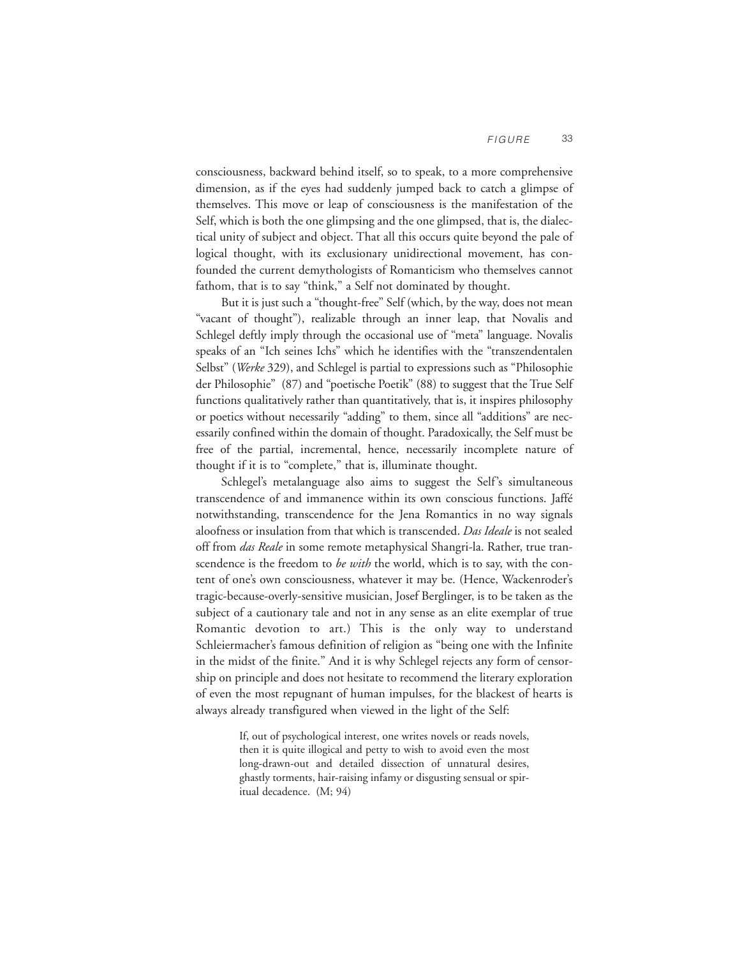consciousness, backward behind itself, so to speak, to a more comprehensive dimension, as if the eyes had suddenly jumped back to catch a glimpse of themselves. This move or leap of consciousness is the manifestation of the Self, which is both the one glimpsing and the one glimpsed, that is, the dialectical unity of subject and object. That all this occurs quite beyond the pale of logical thought, with its exclusionary unidirectional movement, has confounded the current demythologists of Romanticism who themselves cannot fathom, that is to say "think," a Self not dominated by thought.

But it is just such a "thought-free" Self (which, by the way, does not mean "vacant of thought"), realizable through an inner leap, that Novalis and Schlegel deftly imply through the occasional use of "meta" language. Novalis speaks of an "Ich seines Ichs" which he identifies with the "transzendentalen Selbst" (*Werke* 329), and Schlegel is partial to expressions such as "Philosophie der Philosophie" (87) and "poetische Poetik" (88) to suggest that the True Self functions qualitatively rather than quantitatively, that is, it inspires philosophy or poetics without necessarily "adding" to them, since all "additions" are necessarily confined within the domain of thought. Paradoxically, the Self must be free of the partial, incremental, hence, necessarily incomplete nature of thought if it is to "complete," that is, illuminate thought.

Schlegel's metalanguage also aims to suggest the Self's simultaneous transcendence of and immanence within its own conscious functions. Jaffé notwithstanding, transcendence for the Jena Romantics in no way signals aloofness or insulation from that which is transcended. *Das Ideale* is not sealed off from *das Reale* in some remote metaphysical Shangri-la. Rather, true transcendence is the freedom to *be with* the world, which is to say, with the content of one's own consciousness, whatever it may be. (Hence, Wackenroder's tragic-because-overly-sensitive musician, Josef Berglinger, is to be taken as the subject of a cautionary tale and not in any sense as an elite exemplar of true Romantic devotion to art.) This is the only way to understand Schleiermacher's famous definition of religion as "being one with the Infinite in the midst of the finite." And it is why Schlegel rejects any form of censorship on principle and does not hesitate to recommend the literary exploration of even the most repugnant of human impulses, for the blackest of hearts is always already transfigured when viewed in the light of the Self:

> If, out of psychological interest, one writes novels or reads novels, then it is quite illogical and petty to wish to avoid even the most long-drawn-out and detailed dissection of unnatural desires, ghastly torments, hair-raising infamy or disgusting sensual or spiritual decadence. (M; 94)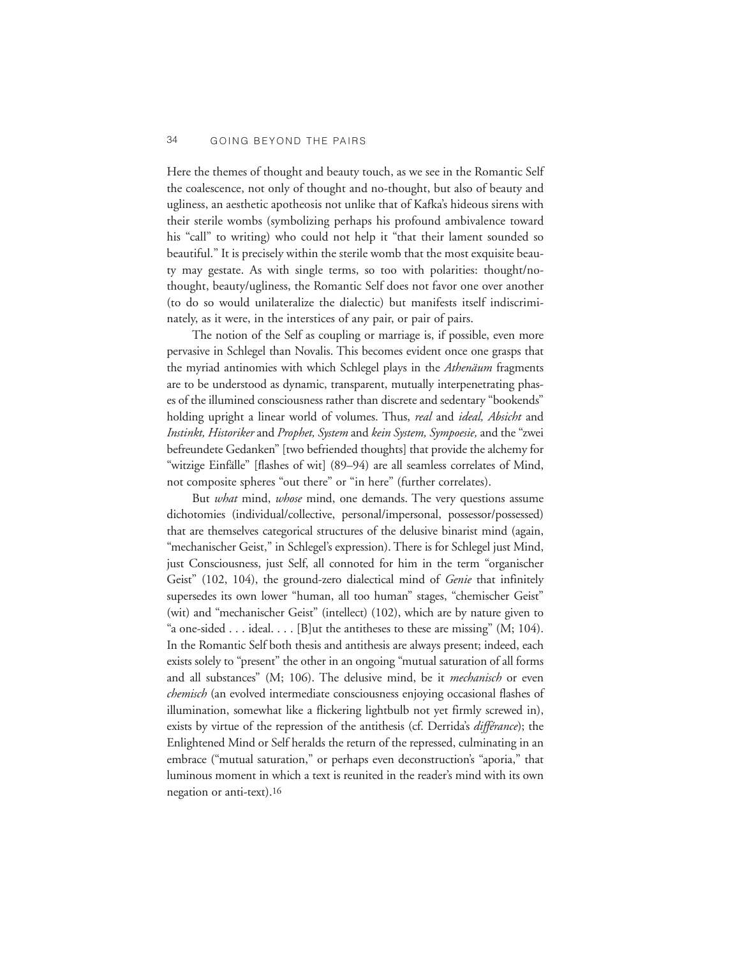Here the themes of thought and beauty touch, as we see in the Romantic Self the coalescence, not only of thought and no-thought, but also of beauty and ugliness, an aesthetic apotheosis not unlike that of Kafka's hideous sirens with their sterile wombs (symbolizing perhaps his profound ambivalence toward his "call" to writing) who could not help it "that their lament sounded so beautiful." It is precisely within the sterile womb that the most exquisite beauty may gestate. As with single terms, so too with polarities: thought/nothought, beauty/ugliness, the Romantic Self does not favor one over another (to do so would unilateralize the dialectic) but manifests itself indiscriminately, as it were, in the interstices of any pair, or pair of pairs.

The notion of the Self as coupling or marriage is, if possible, even more pervasive in Schlegel than Novalis. This becomes evident once one grasps that the myriad antinomies with which Schlegel plays in the *Athenäum* fragments are to be understood as dynamic, transparent, mutually interpenetrating phases of the illumined consciousness rather than discrete and sedentary "bookends" holding upright a linear world of volumes. Thus, *real* and *ideal, Absicht* and *Instinkt, Historiker* and *Prophet, System* and *kein System, Sympoesie,* and the "zwei befreundete Gedanken" [two befriended thoughts] that provide the alchemy for "witzige Einfälle" [flashes of wit] (89–94) are all seamless correlates of Mind, not composite spheres "out there" or "in here" (further correlates).

But *what* mind, *whose* mind, one demands. The very questions assume dichotomies (individual/collective, personal/impersonal, possessor/possessed) that are themselves categorical structures of the delusive binarist mind (again, "mechanischer Geist," in Schlegel's expression). There is for Schlegel just Mind, just Consciousness, just Self, all connoted for him in the term "organischer Geist" (102, 104), the ground-zero dialectical mind of *Genie* that infinitely supersedes its own lower "human, all too human" stages, "chemischer Geist" (wit) and "mechanischer Geist" (intellect) (102), which are by nature given to "a one-sided  $\dots$  ideal.  $\dots$  [B]ut the antitheses to these are missing" (M; 104). In the Romantic Self both thesis and antithesis are always present; indeed, each exists solely to "present" the other in an ongoing "mutual saturation of all forms and all substances" (M; 106). The delusive mind, be it *mechanisch* or even *chemisch* (an evolved intermediate consciousness enjoying occasional flashes of illumination, somewhat like a flickering lightbulb not yet firmly screwed in), exists by virtue of the repression of the antithesis (cf. Derrida's *différance*); the Enlightened Mind or Self heralds the return of the repressed, culminating in an embrace ("mutual saturation," or perhaps even deconstruction's "aporia," that luminous moment in which a text is reunited in the reader's mind with its own negation or anti-text).16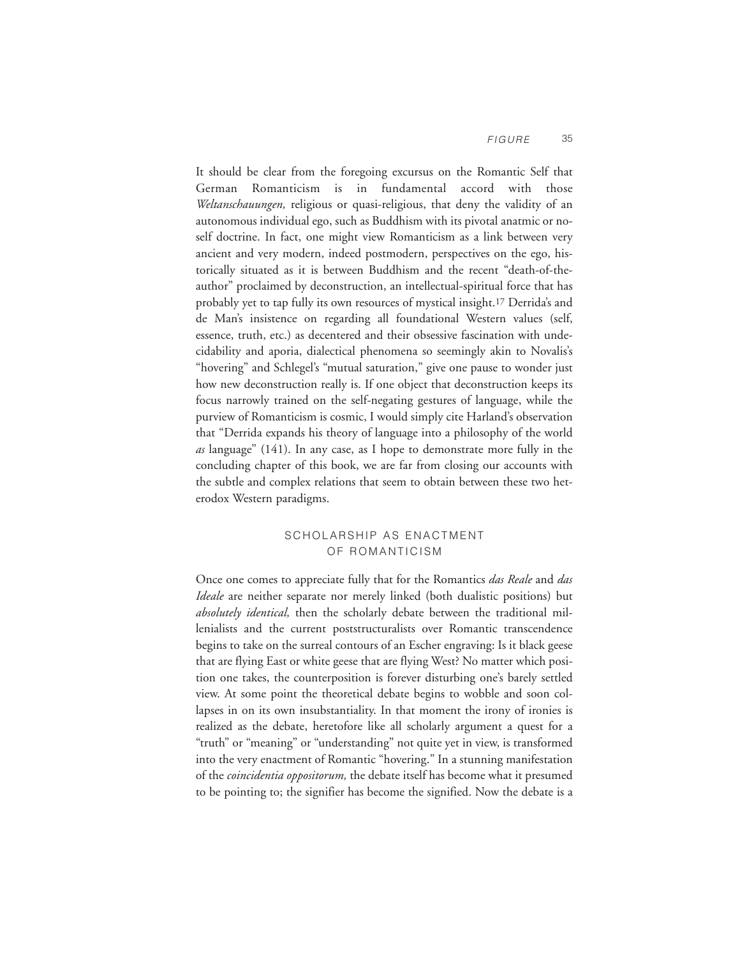It should be clear from the foregoing excursus on the Romantic Self that German Romanticism is in fundamental accord with those *Weltanschauungen,* religious or quasi-religious, that deny the validity of an autonomous individual ego, such as Buddhism with its pivotal anatmic or noself doctrine. In fact, one might view Romanticism as a link between very ancient and very modern, indeed postmodern, perspectives on the ego, historically situated as it is between Buddhism and the recent "death-of-theauthor" proclaimed by deconstruction, an intellectual-spiritual force that has probably yet to tap fully its own resources of mystical insight.17 Derrida's and de Man's insistence on regarding all foundational Western values (self, essence, truth, etc.) as decentered and their obsessive fascination with undecidability and aporia, dialectical phenomena so seemingly akin to Novalis's "hovering" and Schlegel's "mutual saturation," give one pause to wonder just how new deconstruction really is. If one object that deconstruction keeps its focus narrowly trained on the self-negating gestures of language, while the purview of Romanticism is cosmic, I would simply cite Harland's observation that "Derrida expands his theory of language into a philosophy of the world *as* language" (141). In any case, as I hope to demonstrate more fully in the concluding chapter of this book, we are far from closing our accounts with the subtle and complex relations that seem to obtain between these two heterodox Western paradigms.

# SCHOLARSHIP AS ENACTMENT OF ROMANTICISM

Once one comes to appreciate fully that for the Romantics *das Reale* and *das Ideale* are neither separate nor merely linked (both dualistic positions) but *absolutely identical,* then the scholarly debate between the traditional millenialists and the current poststructuralists over Romantic transcendence begins to take on the surreal contours of an Escher engraving: Is it black geese that are flying East or white geese that are flying West? No matter which position one takes, the counterposition is forever disturbing one's barely settled view. At some point the theoretical debate begins to wobble and soon collapses in on its own insubstantiality. In that moment the irony of ironies is realized as the debate, heretofore like all scholarly argument a quest for a "truth" or "meaning" or "understanding" not quite yet in view, is transformed into the very enactment of Romantic "hovering." In a stunning manifestation of the *coincidentia oppositorum,* the debate itself has become what it presumed to be pointing to; the signifier has become the signified. Now the debate is a